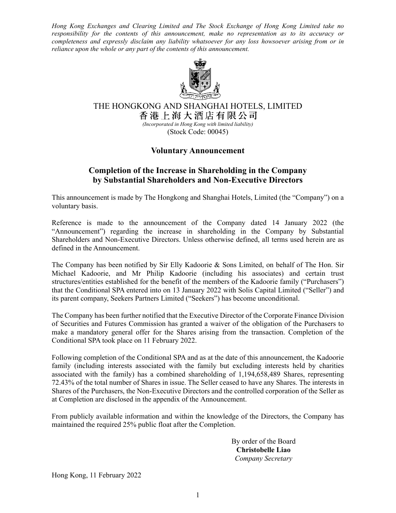*Hong Kong Exchanges and Clearing Limited and The Stock Exchange of Hong Kong Limited take no responsibility for the contents of this announcement, make no representation as to its accuracy or completeness and expressly disclaim any liability whatsoever for any loss howsoever arising from or in reliance upon the whole or any part of the contents of this announcement.* 



THE HONGKONG AND SHANGHAI HOTELS, LIMITED<br>香港上海大酒店有限公司 *(Incorporated in Hong Kong with limited liability)* 

(Stock Code: 00045)

## **Voluntary Announcement**

## **Completion of the Increase in Shareholding in the Company by Substantial Shareholders and Non-Executive Directors**

This announcement is made by The Hongkong and Shanghai Hotels, Limited (the "Company") on a voluntary basis.

Reference is made to the announcement of the Company dated 14 January 2022 (the "Announcement") regarding the increase in shareholding in the Company by Substantial Shareholders and Non-Executive Directors. Unless otherwise defined, all terms used herein are as defined in the Announcement.

The Company has been notified by Sir Elly Kadoorie & Sons Limited, on behalf of The Hon. Sir Michael Kadoorie, and Mr Philip Kadoorie (including his associates) and certain trust structures/entities established for the benefit of the members of the Kadoorie family ("Purchasers") that the Conditional SPA entered into on 13 January 2022 with Solis Capital Limited ("Seller") and its parent company, Seekers Partners Limited ("Seekers") has become unconditional.

The Company has been further notified that the Executive Director of the Corporate Finance Division of Securities and Futures Commission has granted a waiver of the obligation of the Purchasers to make a mandatory general offer for the Shares arising from the transaction. Completion of the Conditional SPA took place on 11 February 2022.

Following completion of the Conditional SPA and as at the date of this announcement, the Kadoorie family (including interests associated with the family but excluding interests held by charities associated with the family) has a combined shareholding of 1,194,658,489 Shares, representing 72.43% of the total number of Shares in issue. The Seller ceased to have any Shares. The interests in Shares of the Purchasers, the Non-Executive Directors and the controlled corporation of the Seller as at Completion are disclosed in the appendix of the Announcement.

From publicly available information and within the knowledge of the Directors, the Company has maintained the required 25% public float after the Completion.

> By order of the Board **Christobelle Liao**  *Company Secretary*

Hong Kong, 11 February 2022